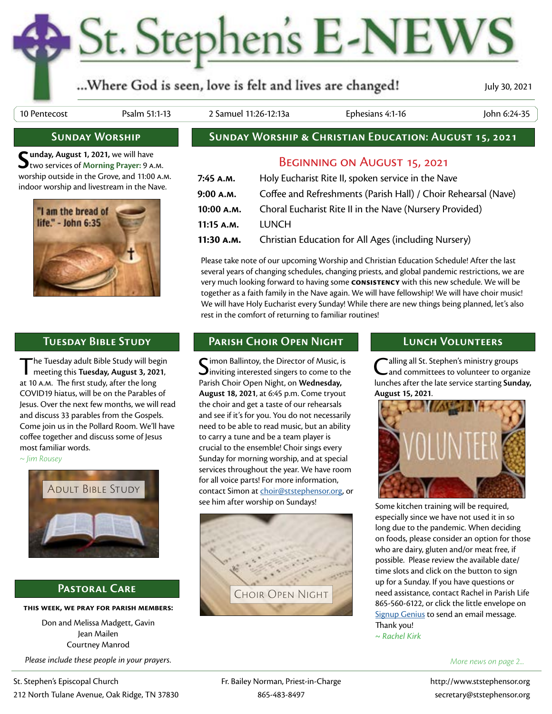## St. Stephen's E-NEWS

**Sunday Worship & Christian Education: August 15, 2021**

Beginning on August 15, 2021

**9:00 a.m.** Coffee and Refreshments (Parish Hall) / Choir Rehearsal (Nave)

Please take note of our upcoming Worship and Christian Education Schedule! After the last several years of changing schedules, changing priests, and global pandemic restrictions, we are very much looking forward to having some **consistency** with this new schedule. We will be together as a faith family in the Nave again. We will have fellowship! We will have choir music! We will have Holy Eucharist every Sunday! While there are new things being planned, let's also

**7:45 a.m.** Holy Eucharist Rite II, spoken service in the Nave

**10:00 a.m.** Choral Eucharist Rite II in the Nave (Nursery Provided)

**11:30 a.m.** Christian Education for All Ages (including Nursery)

## ...Where God is seen, love is felt and lives are changed!

**11:15 a.m.** LUNCH

July 30, 2021

10 Pentecost Psalm 51:1-13 2 Samuel 11:26-12:13a Ephesians 4:1-16 John 6:24-35

## **Sunday Worship**

**Sunday, August 1, 2021, we will have**<br>Stwo services of Morning Prayer: 9 A.M. worship outside in the Grove, and 11:00 a.m. indoor worship and livestream in the Nave.



The Tuesday adult Bible Study will begin meeting this **Tuesday, August 3, 2021**, at 10 a.m. The first study, after the long COVID19 hiatus, will be on the Parables of Jesus. Over the next few months, we will read and discuss 33 parables from the Gospels. Come join us in the Pollard Room. We'll have coffee together and discuss some of Jesus most familiar words.

*~ Jim Rousey*



## **Pastoral Care**

**this week, we pray for parish members:**

Don and Melissa Madgett, Gavin Jean Mailen Courtney Manrod *Please include these people in your prayers.*

## **Tuesday Bible Study Parish Choir Open Night Lunch Volunteers**

rest in the comfort of returning to familiar routines!

 $\bigcap$  imon Ballintoy, the Director of Music, is  $\sum$  inviting interested singers to come to the Parish Choir Open Night, on **Wednesday, August 18, 2021**, at 6:45 p.m. Come tryout the choir and get a taste of our rehearsals and see if it's for you. You do not necessarily need to be able to read music, but an ability to carry a tune and be a team player is crucial to the ensemble! Choir sings every Sunday for morning worship, and at special services throughout the year. We have room for all voice parts! For more information, contact Simon at [choir@ststephensor.org](mailto:choir%40ststephensor.org?subject=), or see him after worship on Sundays!



Calling all St. Stephen's ministry groups and committees to volunteer to organize lunches after the late service starting **Sunday, August 15, 2021**.



Some kitchen training will be required, especially since we have not used it in so long due to the pandemic. When deciding on foods, please consider an option for those who are dairy, gluten and/or meat free, if possible. Please review the available date/ time slots and click on the button to sign up for a Sunday. If you have questions or need assistance, contact Rachel in Parish Life 865-560-6122, or click the little envelope on [Signup Genius](https://www.signupgenius.com/go/8050E4BA5A72FA64-lets) to send an email message. Thank you!

*~ Rachel Kirk*

*More news on page 2...*